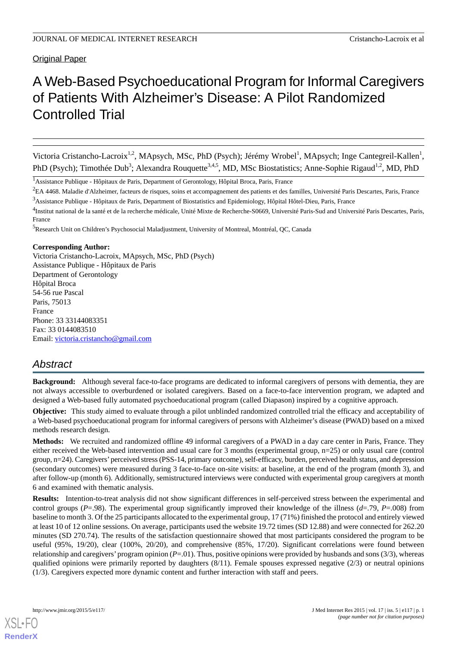### Original Paper

# A Web-Based Psychoeducational Program for Informal Caregivers of Patients With Alzheimer's Disease: A Pilot Randomized Controlled Trial

Victoria Cristancho-Lacroix<sup>1,2</sup>, MApsych, MSc, PhD (Psych); Jérémy Wrobel<sup>1</sup>, MApsych; Inge Cantegreil-Kallen<sup>1</sup>, PhD (Psych); Timothée Dub<sup>3</sup>; Alexandra Rouquette<sup>3,4,5</sup>, MD, MSc Biostatistics; Anne-Sophie Rigaud<sup>1,2</sup>, MD, PhD

<sup>1</sup>Assistance Publique - Hôpitaux de Paris, Department of Gerontology, Hôpital Broca, Paris, France

<sup>2</sup>EA 4468. Maladie d'Alzheimer, facteurs de risques, soins et accompagnement des patients et des familles, Université Paris Descartes, Paris, France <sup>3</sup>Assistance Publique - Hôpitaux de Paris, Department of Biostatistics and Epidemiology, Hôpital Hôtel-Dieu, Paris, France

<sup>5</sup>Research Unit on Children's Psychosocial Maladjustment, University of Montreal, Montréal, QC, Canada

#### **Corresponding Author:**

Victoria Cristancho-Lacroix, MApsych, MSc, PhD (Psych) Assistance Publique - Hôpitaux de Paris Department of Gerontology Hôpital Broca 54-56 rue Pascal Paris, 75013 France Phone: 33 33144083351 Fax: 33 0144083510 Email: [victoria.cristancho@gmail.com](mailto:victoria.cristancho@gmail.com)

## *Abstract*

**Background:** Although several face-to-face programs are dedicated to informal caregivers of persons with dementia, they are not always accessible to overburdened or isolated caregivers. Based on a face-to-face intervention program, we adapted and designed a Web-based fully automated psychoeducational program (called Diapason) inspired by a cognitive approach.

**Objective:** This study aimed to evaluate through a pilot unblinded randomized controlled trial the efficacy and acceptability of a Web-based psychoeducational program for informal caregivers of persons with Alzheimer's disease (PWAD) based on a mixed methods research design.

**Methods:** We recruited and randomized offline 49 informal caregivers of a PWAD in a day care center in Paris, France. They either received the Web-based intervention and usual care for 3 months (experimental group, n=25) or only usual care (control group, n=24). Caregivers'perceived stress (PSS-14, primary outcome), self-efficacy, burden, perceived health status, and depression (secondary outcomes) were measured during 3 face-to-face on-site visits: at baseline, at the end of the program (month 3), and after follow-up (month 6). Additionally, semistructured interviews were conducted with experimental group caregivers at month 6 and examined with thematic analysis.

**Results:** Intention-to-treat analysis did not show significant differences in self-perceived stress between the experimental and control groups (*P*=.98). The experimental group significantly improved their knowledge of the illness (*d*=.79, *P*=.008) from baseline to month 3. Of the 25 participants allocated to the experimental group, 17 (71%) finished the protocol and entirely viewed at least 10 of 12 online sessions. On average, participants used the website 19.72 times (SD 12.88) and were connected for 262.20 minutes (SD 270.74). The results of the satisfaction questionnaire showed that most participants considered the program to be useful (95%, 19/20), clear (100%, 20/20), and comprehensive (85%, 17/20). Significant correlations were found between relationship and caregivers'program opinion (*P*=.01). Thus, positive opinions were provided by husbands and sons (3/3), whereas qualified opinions were primarily reported by daughters  $(8/11)$ . Female spouses expressed negative  $(2/3)$  or neutral opinions (1/3). Caregivers expected more dynamic content and further interaction with staff and peers.

<sup>&</sup>lt;sup>4</sup>Institut national de la santé et de la recherche médicale, Unité Mixte de Recherche-S0669, Université Paris-Sud and Université Paris Descartes, Paris, France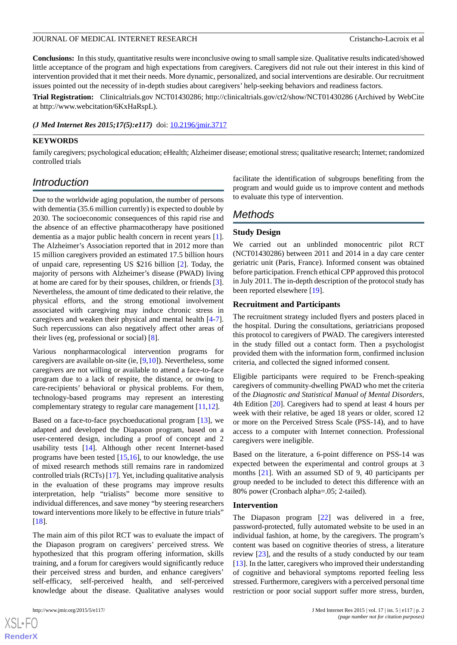**Conclusions:** In this study, quantitative results were inconclusive owing to small sample size. Qualitative results indicated/showed little acceptance of the program and high expectations from caregivers. Caregivers did not rule out their interest in this kind of intervention provided that it met their needs. More dynamic, personalized, and social interventions are desirable. Our recruitment issues pointed out the necessity of in-depth studies about caregivers' help-seeking behaviors and readiness factors.

**Trial Registration:** Clinicaltrials.gov NCT01430286; http://clinicaltrials.gov/ct2/show/NCT01430286 (Archived by WebCite at http://www.webcitation/6KxHaRspL).

*(J Med Internet Res 2015;17(5):e117)* doi:  $10.2196/$ *jmir.3717* 

#### **KEYWORDS**

family caregivers; psychological education; eHealth; Alzheimer disease; emotional stress; qualitative research; Internet; randomized controlled trials

## *Introduction*

Due to the worldwide aging population, the number of persons with dementia (35.6 million currently) is expected to double by 2030. The socioeconomic consequences of this rapid rise and the absence of an effective pharmacotherapy have positioned dementia as a major public health concern in recent years [[1\]](#page-11-0). The Alzheimer's Association reported that in 2012 more than 15 million caregivers provided an estimated 17.5 billion hours of unpaid care, representing US \$216 billion [[2\]](#page-12-0). Today, the majority of persons with Alzheimer's disease (PWAD) living at home are cared for by their spouses, children, or friends [[3\]](#page-12-1). Nevertheless, the amount of time dedicated to their relative, the physical efforts, and the strong emotional involvement associated with caregiving may induce chronic stress in caregivers and weaken their physical and mental health [\[4-](#page-12-2)[7\]](#page-12-3). Such repercussions can also negatively affect other areas of their lives (eg, professional or social) [[8\]](#page-12-4).

Various nonpharmacological intervention programs for caregivers are available on-site (ie, [[9,](#page-12-5)[10](#page-12-6)]). Nevertheless, some caregivers are not willing or available to attend a face-to-face program due to a lack of respite, the distance, or owing to care-recipients' behavioral or physical problems. For them, technology-based programs may represent an interesting complementary strategy to regular care management [\[11](#page-12-7),[12\]](#page-12-8).

Based on a face-to-face psychoeducational program [[13\]](#page-12-9), we adapted and developed the Diapason program, based on a user-centered design, including a proof of concept and 2 usability tests [[14\]](#page-12-10). Although other recent Internet-based programs have been tested  $[15,16]$  $[15,16]$  $[15,16]$  $[15,16]$ , to our knowledge, the use of mixed research methods still remains rare in randomized controlled trials (RCTs) [[17](#page-12-13)]. Yet, including qualitative analysis in the evaluation of these programs may improve results interpretation, help "trialists" become more sensitive to individual differences, and save money "by steering researchers toward interventions more likely to be effective in future trials" [[18\]](#page-12-14).

The main aim of this pilot RCT was to evaluate the impact of the Diapason program on caregivers' perceived stress. We hypothesized that this program offering information, skills training, and a forum for caregivers would significantly reduce their perceived stress and burden, and enhance caregivers' self-efficacy, self-perceived health, and self-perceived knowledge about the disease. Qualitative analyses would

 $XS$  $\cdot$ FC **[RenderX](http://www.renderx.com/)** facilitate the identification of subgroups benefiting from the program and would guide us to improve content and methods to evaluate this type of intervention.

## *Methods*

#### **Study Design**

We carried out an unblinded monocentric pilot RCT (NCT01430286) between 2011 and 2014 in a day care center geriatric unit (Paris, France). Informed consent was obtained before participation. French ethical CPP approved this protocol in July 2011. The in-depth description of the protocol study has been reported elsewhere [\[19](#page-12-15)].

#### **Recruitment and Participants**

The recruitment strategy included flyers and posters placed in the hospital. During the consultations, geriatricians proposed this protocol to caregivers of PWAD. The caregivers interested in the study filled out a contact form. Then a psychologist provided them with the information form, confirmed inclusion criteria, and collected the signed informed consent.

Eligible participants were required to be French-speaking caregivers of community-dwelling PWAD who met the criteria of the *Diagnostic and Statistical Manual of Mental Disorders*, 4th Edition [\[20](#page-12-16)]. Caregivers had to spend at least 4 hours per week with their relative, be aged 18 years or older, scored 12 or more on the Perceived Stress Scale (PSS-14), and to have access to a computer with Internet connection. Professional caregivers were ineligible.

Based on the literature, a 6-point difference on PSS-14 was expected between the experimental and control groups at 3 months [\[21](#page-12-17)]. With an assumed SD of 9, 40 participants per group needed to be included to detect this difference with an 80% power (Cronbach alpha=.05; 2-tailed).

#### **Intervention**

The Diapason program [[22\]](#page-12-18) was delivered in a free, password-protected, fully automated website to be used in an individual fashion, at home, by the caregivers. The program's content was based on cognitive theories of stress, a literature review [[23\]](#page-12-19), and the results of a study conducted by our team [[13\]](#page-12-9). In the latter, caregivers who improved their understanding of cognitive and behavioral symptoms reported feeling less stressed. Furthermore, caregivers with a perceived personal time restriction or poor social support suffer more stress, burden,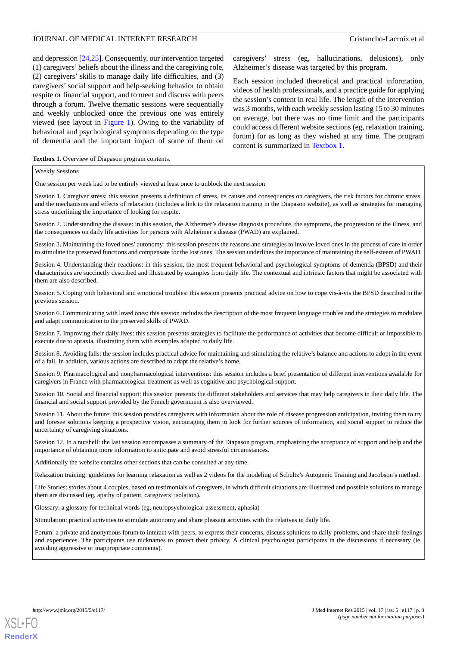and depression [\[24](#page-13-0),[25\]](#page-13-1). Consequently, our intervention targeted (1) caregivers' beliefs about the illness and the caregiving role, (2) caregivers' skills to manage daily life difficulties, and (3) caregivers' social support and help-seeking behavior to obtain respite or financial support, and to meet and discuss with peers through a forum. Twelve thematic sessions were sequentially and weekly unblocked once the previous one was entirely viewed (see layout in [Figure 1](#page-3-0)). Owing to the variability of behavioral and psychological symptoms depending on the type of dementia and the important impact of some of them on

caregivers' stress (eg, hallucinations, delusions), only Alzheimer's disease was targeted by this program.

Each session included theoretical and practical information, videos of health professionals, and a practice guide for applying the session's content in real life. The length of the intervention was 3 months, with each weekly session lasting 15 to 30 minutes on average, but there was no time limit and the participants could access different website sections (eg, relaxation training, forum) for as long as they wished at any time. The program content is summarized in [Textbox 1](#page-2-0).

<span id="page-2-0"></span>**Textbox 1.** Overview of Diapason program contents.

#### Weekly Sessions

One session per week had to be entirely viewed at least once to unblock the next session

Session 1. Caregiver stress: this session presents a definition of stress, its causes and consequences on caregivers, the risk factors for chronic stress, and the mechanisms and effects of relaxation (includes a link to the relaxation training in the Diapason website), as well as strategies for managing stress underlining the importance of looking for respite.

Session 2. Understanding the disease: in this session, the Alzheimer's disease diagnosis procedure, the symptoms, the progression of the illness, and the consequences on daily life activities for persons with Alzheimer's disease (PWAD) are explained.

Session 3. Maintaining the loved ones' autonomy: this session presents the reasons and strategies to involve loved ones in the process of care in order to stimulate the preserved functions and compensate for the lost ones. The session underlines the importance of maintaining the self-esteem of PWAD.

Session 4. Understanding their reactions: in this session, the most frequent behavioral and psychological symptoms of dementia (BPSD) and their characteristics are succinctly described and illustrated by examples from daily life. The contextual and intrinsic factors that might be associated with them are also described.

Session 5. Coping with behavioral and emotional troubles: this session presents practical advice on how to cope vis-à-vis the BPSD described in the previous session.

Session 6. Communicating with loved ones: this session includes the description of the most frequent language troubles and the strategies to modulate and adapt communication to the preserved skills of PWAD.

Session 7. Improving their daily lives: this session presents strategies to facilitate the performance of activities that become difficult or impossible to execute due to apraxia, illustrating them with examples adapted to daily life.

Session 8. Avoiding falls: the session includes practical advice for maintaining and stimulating the relative's balance and actions to adopt in the event of a fall. In addition, various actions are described to adapt the relative's home.

Session 9. Pharmacological and nonpharmacological interventions: this session includes a brief presentation of different interventions available for caregivers in France with pharmacological treatment as well as cognitive and psychological support.

Session 10. Social and financial support: this session presents the different stakeholders and services that may help caregivers in their daily life. The financial and social support provided by the French government is also overviewed.

Session 11. About the future: this session provides caregivers with information about the role of disease progression anticipation, inviting them to try and foresee solutions keeping a prospective vision, encouraging them to look for further sources of information, and social support to reduce the uncertainty of caregiving situations.

Session 12. In a nutshell: the last session encompasses a summary of the Diapason program, emphasizing the acceptance of support and help and the importance of obtaining more information to anticipate and avoid stressful circumstances.

Additionally the website contains other sections that can be consulted at any time.

Relaxation training: guidelines for learning relaxation as well as 2 videos for the modeling of Schultz's Autogenic Training and Jacobson's method.

Life Stories: stories about 4 couples, based on testimonials of caregivers, in which difficult situations are illustrated and possible solutions to manage them are discussed (eg, apathy of patient, caregivers' isolation).

Glossary: a glossary for technical words (eg, neuropsychological assessment, aphasia)

Stimulation: practical activities to stimulate autonomy and share pleasant activities with the relatives in daily life.

Forum: a private and anonymous forum to interact with peers, to express their concerns, discuss solutions to daily problems, and share their feelings and experiences. The participants use nicknames to protect their privacy. A clinical psychologist participates in the discussions if necessary (ie, avoiding aggressive or inappropriate comments).

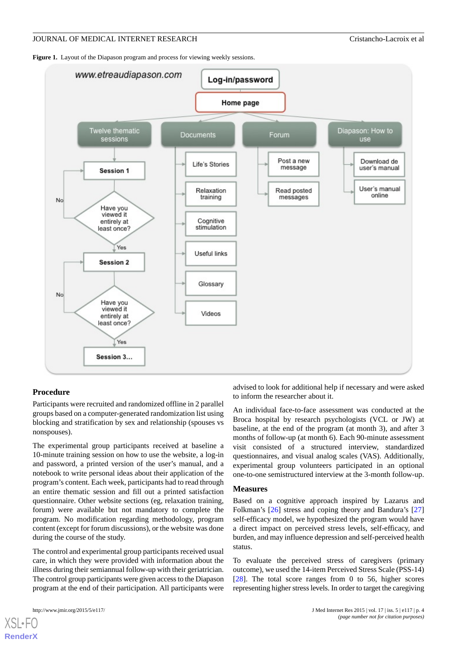<span id="page-3-0"></span>Figure 1. Layout of the Diapason program and process for viewing weekly sessions.



#### **Procedure**

Participants were recruited and randomized offline in 2 parallel groups based on a computer-generated randomization list using blocking and stratification by sex and relationship (spouses vs nonspouses).

The experimental group participants received at baseline a 10-minute training session on how to use the website, a log-in and password, a printed version of the user's manual, and a notebook to write personal ideas about their application of the program's content. Each week, participants had to read through an entire thematic session and fill out a printed satisfaction questionnaire. Other website sections (eg, relaxation training, forum) were available but not mandatory to complete the program. No modification regarding methodology, program content (except for forum discussions), or the website was done during the course of the study.

The control and experimental group participants received usual care, in which they were provided with information about the illness during their semiannual follow-up with their geriatrician. The control group participants were given access to the Diapason program at the end of their participation. All participants were

[XSL](http://www.w3.org/Style/XSL)•FO **[RenderX](http://www.renderx.com/)**

advised to look for additional help if necessary and were asked to inform the researcher about it.

An individual face-to-face assessment was conducted at the Broca hospital by research psychologists (VCL or JW) at baseline, at the end of the program (at month 3), and after 3 months of follow-up (at month 6). Each 90-minute assessment visit consisted of a structured interview, standardized questionnaires, and visual analog scales (VAS). Additionally, experimental group volunteers participated in an optional one-to-one semistructured interview at the 3-month follow-up.

#### **Measures**

Based on a cognitive approach inspired by Lazarus and Folkman's [[26\]](#page-13-2) stress and coping theory and Bandura's [\[27](#page-13-3)] self-efficacy model, we hypothesized the program would have a direct impact on perceived stress levels, self-efficacy, and burden, and may influence depression and self-perceived health status.

To evaluate the perceived stress of caregivers (primary outcome), we used the 14-item Perceived Stress Scale (PSS-14) [[28\]](#page-13-4). The total score ranges from 0 to 56, higher scores representing higher stress levels. In order to target the caregiving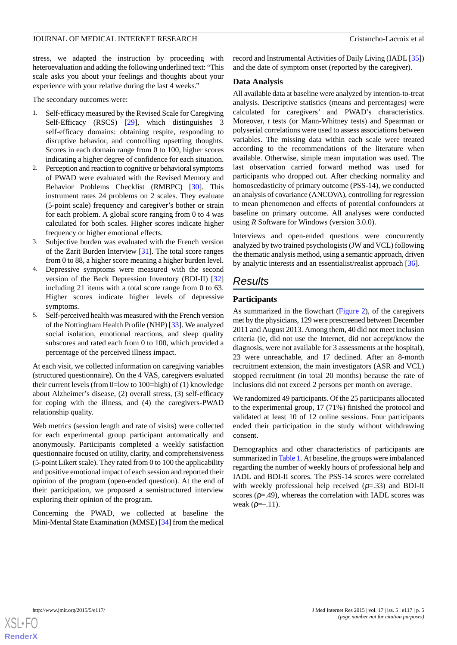stress, we adapted the instruction by proceeding with heteroevaluation and adding the following underlined text: "This scale asks you about your feelings and thoughts about your experience with your relative during the last 4 weeks."

The secondary outcomes were:

- 1. Self-efficacy measured by the Revised Scale for Caregiving Self-Efficacy (RSCS) [[29\]](#page-13-5), which distinguishes 3 self-efficacy domains: obtaining respite, responding to disruptive behavior, and controlling upsetting thoughts. Scores in each domain range from 0 to 100, higher scores indicating a higher degree of confidence for each situation.
- 2. Perception and reaction to cognitive or behavioral symptoms of PWAD were evaluated with the Revised Memory and Behavior Problems Checklist (RMBPC) [[30\]](#page-13-6). This instrument rates 24 problems on 2 scales. They evaluate (5-point scale) frequency and caregiver's bother or strain for each problem. A global score ranging from 0 to 4 was calculated for both scales. Higher scores indicate higher frequency or higher emotional effects.
- 3. Subjective burden was evaluated with the French version of the Zarit Burden Interview [\[31](#page-13-7)]. The total score ranges from 0 to 88, a higher score meaning a higher burden level.
- 4. Depressive symptoms were measured with the second version of the Beck Depression Inventory (BDI-II) [\[32](#page-13-8)] including 21 items with a total score range from 0 to 63. Higher scores indicate higher levels of depressive symptoms.
- 5. Self-perceived health was measured with the French version of the Nottingham Health Profile (NHP) [\[33](#page-13-9)]. We analyzed social isolation, emotional reactions, and sleep quality subscores and rated each from 0 to 100, which provided a percentage of the perceived illness impact.

At each visit, we collected information on caregiving variables (structured questionnaire). On the 4 VAS, caregivers evaluated their current levels (from 0=low to 100=high) of (1) knowledge about Alzheimer's disease, (2) overall stress, (3) self-efficacy for coping with the illness, and (4) the caregivers-PWAD relationship quality.

Web metrics (session length and rate of visits) were collected for each experimental group participant automatically and anonymously. Participants completed a weekly satisfaction questionnaire focused on utility, clarity, and comprehensiveness (5-point Likert scale). They rated from 0 to 100 the applicability and positive emotional impact of each session and reported their opinion of the program (open-ended question). At the end of their participation, we proposed a semistructured interview exploring their opinion of the program.

Concerning the PWAD, we collected at baseline the Mini-Mental State Examination (MMSE) [\[34\]](#page-13-10) from the medical record and Instrumental Activities of Daily Living (IADL [\[35](#page-13-11)]) and the date of symptom onset (reported by the caregiver).

#### **Data Analysis**

All available data at baseline were analyzed by intention-to-treat analysis. Descriptive statistics (means and percentages) were calculated for caregivers' and PWAD's characteristics. Moreover, *t* tests (or Mann-Whitney tests) and Spearman or polyserial correlations were used to assess associations between variables. The missing data within each scale were treated according to the recommendations of the literature when available. Otherwise, simple mean imputation was used. The last observation carried forward method was used for participants who dropped out. After checking normality and homoscedasticity of primary outcome (PSS-14), we conducted an analysis of covariance (ANCOVA), controlling for regression to mean phenomenon and effects of potential confounders at baseline on primary outcome. All analyses were conducted using *R* Software for Windows (version 3.0.0).

Interviews and open-ended questions were concurrently analyzed by two trained psychologists (JW and VCL) following the thematic analysis method, using a semantic approach, driven by analytic interests and an essentialist/realist approach [\[36](#page-13-12)].

## *Results*

#### **Participants**

As summarized in the flowchart ([Figure 2\)](#page-6-0), of the caregivers met by the physicians, 129 were prescreened between December 2011 and August 2013. Among them, 40 did not meet inclusion criteria (ie, did not use the Internet, did not accept/know the diagnosis, were not available for 3 assessments at the hospital), 23 were unreachable, and 17 declined. After an 8-month recruitment extension, the main investigators (ASR and VCL) stopped recruitment (in total 20 months) because the rate of inclusions did not exceed 2 persons per month on average.

We randomized 49 participants. Of the 25 participants allocated to the experimental group, 17 (71%) finished the protocol and validated at least 10 of 12 online sessions. Four participants ended their participation in the study without withdrawing consent.

Demographics and other characteristics of participants are summarized in [Table 1.](#page-5-0) At baseline, the groups were imbalanced regarding the number of weekly hours of professional help and IADL and BDI-II scores. The PSS-14 scores were correlated with weekly professional help received  $(p=.33)$  and BDI-II scores ( $p = .49$ ), whereas the correlation with IADL scores was weak ( $ρ = -11$ ).

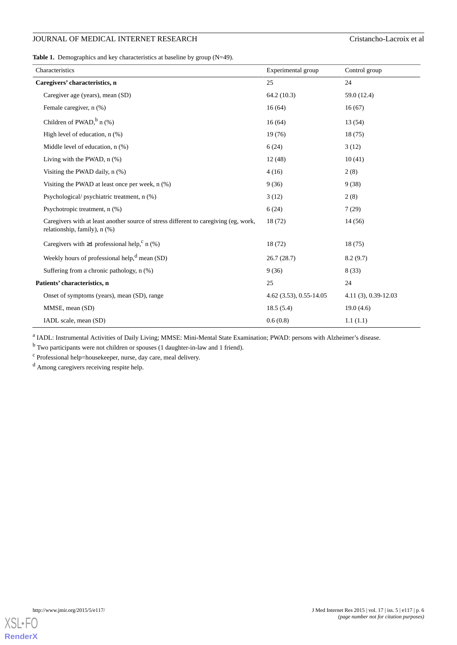<span id="page-5-0"></span>**Table 1.** Demographics and key characteristics at baseline by group (N=49).

| Characteristics                                                                                                           | Experimental group      | Control group         |
|---------------------------------------------------------------------------------------------------------------------------|-------------------------|-----------------------|
| Caregivers' characteristics, n                                                                                            | 25                      | 24                    |
| Caregiver age (years), mean (SD)                                                                                          | 64.2(10.3)              | 59.0 (12.4)           |
| Female caregiver, n (%)                                                                                                   | 16(64)                  | 16(67)                |
| Children of PWAD, $\frac{b}{n}$ (%)                                                                                       | 16(64)                  | 13 (54)               |
| High level of education, n (%)                                                                                            | 19(76)                  | 18(75)                |
| Middle level of education, $n$ $(\%)$                                                                                     | 6(24)                   | 3(12)                 |
| Living with the PWAD, $n$ $%$ )                                                                                           | 12(48)                  | 10(41)                |
| Visiting the PWAD daily, $n$ $(\%)$                                                                                       | 4(16)                   | 2(8)                  |
| Visiting the PWAD at least once per week, $n$ $(\%)$                                                                      | 9(36)                   | 9(38)                 |
| Psychological/psychiatric treatment, n (%)                                                                                | 3(12)                   | 2(8)                  |
| Psychotropic treatment, n (%)                                                                                             | 6(24)                   | 7(29)                 |
| Caregivers with at least another source of stress different to caregiving (eg, work,<br>relationship, family), $n$ $(\%)$ | 18 (72)                 | 14(56)                |
| Caregivers with $\geq 1$ professional help, <sup>c</sup> n (%)                                                            | 18 (72)                 | 18(75)                |
| Weekly hours of professional help, $d$ mean (SD)                                                                          | 26.7(28.7)              | 8.2(9.7)              |
| Suffering from a chronic pathology, n (%)                                                                                 | 9(36)                   | 8(33)                 |
| Patients' characteristics, n                                                                                              | 25                      | 24                    |
| Onset of symptoms (years), mean (SD), range                                                                               | 4.62 (3.53), 0.55-14.05 | $4.11(3), 0.39-12.03$ |
| MMSE, mean (SD)                                                                                                           | 18.5(5.4)               | 19.0(4.6)             |
| IADL scale, mean (SD)                                                                                                     | 0.6(0.8)                | 1.1(1.1)              |

<sup>a</sup> IADL: Instrumental Activities of Daily Living; MMSE: Mini-Mental State Examination; PWAD: persons with Alzheimer's disease.

<sup>b</sup> Two participants were not children or spouses (1 daughter-in-law and 1 friend).

<sup>c</sup> Professional help=housekeeper, nurse, day care, meal delivery.

<sup>d</sup> Among caregivers receiving respite help.

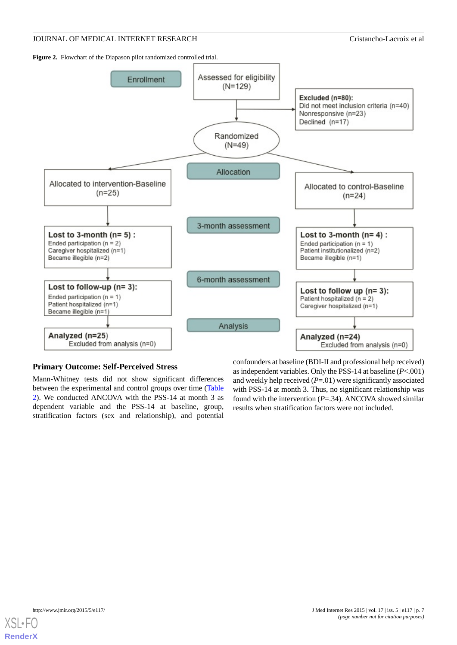<span id="page-6-0"></span>Figure 2. Flowchart of the Diapason pilot randomized controlled trial.



#### **Primary Outcome: Self-Perceived Stress**

Mann-Whitney tests did not show significant differences between the experimental and control groups over time ([Table](#page-7-0) [2\)](#page-7-0). We conducted ANCOVA with the PSS-14 at month 3 as dependent variable and the PSS-14 at baseline, group, stratification factors (sex and relationship), and potential

confounders at baseline (BDI-II and professional help received) as independent variables. Only the PSS-14 at baseline (*P*<.001) and weekly help received (*P*=.01) were significantly associated with PSS-14 at month 3. Thus, no significant relationship was found with the intervention (*P*=.34). ANCOVA showed similar results when stratification factors were not included.

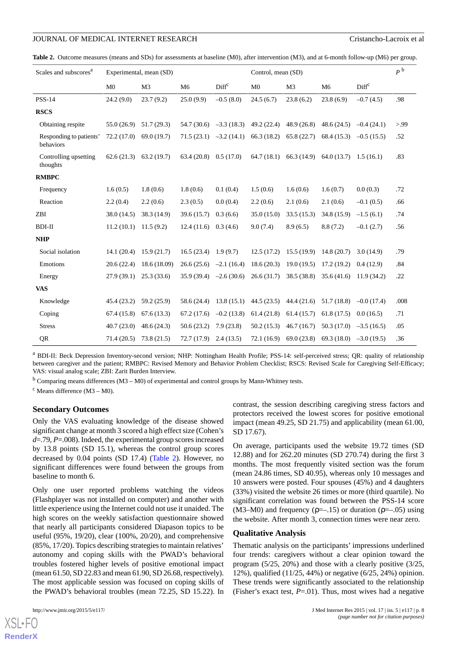<span id="page-7-0"></span>**Table 2.** Outcome measures (means and SDs) for assessments at baseline (M0), after intervention (M3), and at 6-month follow-up (M6) per group.

| Scales and subscores <sup>a</sup>    | Experimental, mean (SD) |                |                | Control, mean (SD) |                |                |                | P <sup>b</sup>    |      |
|--------------------------------------|-------------------------|----------------|----------------|--------------------|----------------|----------------|----------------|-------------------|------|
|                                      | M <sub>0</sub>          | M <sub>3</sub> | M <sub>6</sub> | Diff <sup>c</sup>  | M <sub>0</sub> | M <sub>3</sub> | M <sub>6</sub> | Diff <sup>c</sup> |      |
| <b>PSS-14</b>                        | 24.2(9.0)               | 23.7(9.2)      | 25.0(9.9)      | $-0.5(8.0)$        | 24.5(6.7)      | 23.8(6.2)      | 23.8(6.9)      | $-0.7(4.5)$       | .98  |
| <b>RSCS</b>                          |                         |                |                |                    |                |                |                |                   |      |
| Obtaining respite                    | 55.0(26.9)              | 51.7(29.3)     | 54.7 (30.6)    | $-3.3(18.3)$       | 49.2 (22.4)    | 48.9(26.8)     | 48.6(24.5)     | $-0.4(24.1)$      | > 99 |
| Responding to patients'<br>behaviors | 72.2(17.0)              | 69.0 (19.7)    | 71.5(23.1)     | $-3.2(14.1)$       | 66.3(18.2)     | 65.8(22.7)     | 68.4(15.3)     | $-0.5(15.5)$      | .52  |
| Controlling upsetting<br>thoughts    | 62.6(21.3)              | 63.2(19.7)     | 63.4(20.8)     | 0.5(17.0)          | 64.7(18.1)     | 66.3 (14.9)    | 64.0(13.7)     | 1.5(16.1)         | .83  |
| <b>RMBPC</b>                         |                         |                |                |                    |                |                |                |                   |      |
| Frequency                            | 1.6(0.5)                | 1.8(0.6)       | 1.8(0.6)       | 0.1(0.4)           | 1.5(0.6)       | 1.6(0.6)       | 1.6(0.7)       | 0.0(0.3)          | .72  |
| Reaction                             | 2.2(0.4)                | 2.2(0.6)       | 2.3(0.5)       | 0.0(0.4)           | 2.2(0.6)       | 2.1(0.6)       | 2.1(0.6)       | $-0.1(0.5)$       | .66  |
| <b>ZBI</b>                           | 38.0 (14.5)             | 38.3 (14.9)    | 39.6 (15.7)    | 0.3(6.6)           | 35.0 (15.0)    | 33.5(15.3)     | 34.8(15.9)     | $-1.5(6.1)$       | .74  |
| <b>BDI-II</b>                        | 11.2(10.1)              | 11.5(9.2)      | 12.4(11.6)     | 0.3(4.6)           | 9.0(7.4)       | 8.9(6.5)       | 8.8(7.2)       | $-0.1(2.7)$       | .56  |
| <b>NHP</b>                           |                         |                |                |                    |                |                |                |                   |      |
| Social isolation                     | 14.1(20.4)              | 15.9(21.7)     | 16.5(23.4)     | 1.9(9.7)           | 12.5(17.2)     | 15.5(19.9)     | 14.8(20.7)     | 3.0(14.9)         | .79  |
| Emotions                             | 20.6(22.4)              | 18.6 (18.09)   | 26.6(25.6)     | $-2.1(16.4)$       | 18.6(20.3)     | 19.0(19.5)     | 17.2(19.2)     | 0.4(12.9)         | .84  |
| Energy                               | 27.9(39.1)              | 25.3(33.6)     | 35.9(39.4)     | $-2.6(30.6)$       | 26.6(31.7)     | 38.5 (38.8)    | 35.6(41.6)     | 11.9(34.2)        | .22  |
| <b>VAS</b>                           |                         |                |                |                    |                |                |                |                   |      |
| Knowledge                            | 45.4(23.2)              | 59.2 (25.9)    | 58.6 (24.4)    | 13.8(15.1)         | 44.5(23.5)     | 44.4 (21.6)    | 51.7(18.8)     | $-0.0$ (17.4)     | .008 |
| Coping                               | 67.4(15.8)              | 67.6(13.3)     | 67.2(17.6)     | $-0.2(13.8)$       | 61.4(21.8)     | 61.4(15.7)     | 61.8(17.5)     | 0.0(16.5)         | .71  |
| <b>Stress</b>                        | 40.7(23.0)              | 48.6(24.3)     | 50.6(23.2)     | 7.9(23.8)          | 50.2(15.3)     | 46.7(16.7)     | 50.3(17.0)     | $-3.5(16.5)$      | .05  |
| QR                                   | 71.4(20.5)              | 73.8(21.5)     | 72.7(17.9)     | 2.4(13.5)          | 72.1(16.9)     | 69.0 (23.8)    | 69.3(18.0)     | $-3.0(19.5)$      | .36  |

<sup>a</sup> BDI-II: Beck Depression Inventory-second version; NHP: Nottingham Health Profile; PSS-14: self-perceived stress; QR: quality of relationship between caregiver and the patient; RMBPC: Revised Memory and Behavior Problem Checklist; RSCS: Revised Scale for Caregiving Self-Efficacy; VAS: visual analog scale; ZBI: Zarit Burden Interview.

 $b$  Comparing means differences (M3 – M0) of experimental and control groups by Mann-Whitney tests.

 $\rm^c$  Means difference (M3 – M0).

#### **Secondary Outcomes**

Only the VAS evaluating knowledge of the disease showed significant change at month 3 scored a high effect size (Cohen's *d*=.79, *P*=.008). Indeed, the experimental group scores increased by 13.8 points (SD 15.1), whereas the control group scores decreased by 0.04 points (SD 17.4) [\(Table 2\)](#page-7-0). However, no significant differences were found between the groups from baseline to month 6.

Only one user reported problems watching the videos (Flashplayer was not installed on computer) and another with little experience using the Internet could not use it unaided. The high scores on the weekly satisfaction questionnaire showed that nearly all participants considered Diapason topics to be useful (95%, 19/20), clear (100%, 20/20), and comprehensive (85%, 17/20). Topics describing strategies to maintain relatives' autonomy and coping skills with the PWAD's behavioral troubles fostered higher levels of positive emotional impact (mean 61.50, SD 22.83 and mean 61.90, SD 26.68, respectively). The most applicable session was focused on coping skills of the PWAD's behavioral troubles (mean 72.25, SD 15.22). In

[XSL](http://www.w3.org/Style/XSL)•FO **[RenderX](http://www.renderx.com/)**

contrast, the session describing caregiving stress factors and protectors received the lowest scores for positive emotional impact (mean 49.25, SD 21.75) and applicability (mean 61.00, SD 17.67).

On average, participants used the website 19.72 times (SD 12.88) and for 262.20 minutes (SD 270.74) during the first 3 months. The most frequently visited section was the forum (mean 24.86 times, SD 40.95), whereas only 10 messages and 10 answers were posted. Four spouses (45%) and 4 daughters (33%) visited the website 26 times or more (third quartile). No significant correlation was found between the PSS-14 score  $(M3-M0)$  and frequency ( $p=-.15$ ) or duration ( $p=-.05$ ) using the website. After month 3, connection times were near zero.

#### **Qualitative Analysis**

Thematic analysis on the participants' impressions underlined four trends: caregivers without a clear opinion toward the program (5/25, 20%) and those with a clearly positive (3/25, 12%), qualified (11/25, 44%) or negative (6/25, 24%) opinion. These trends were significantly associated to the relationship (Fisher's exact test, *P*=.01). Thus, most wives had a negative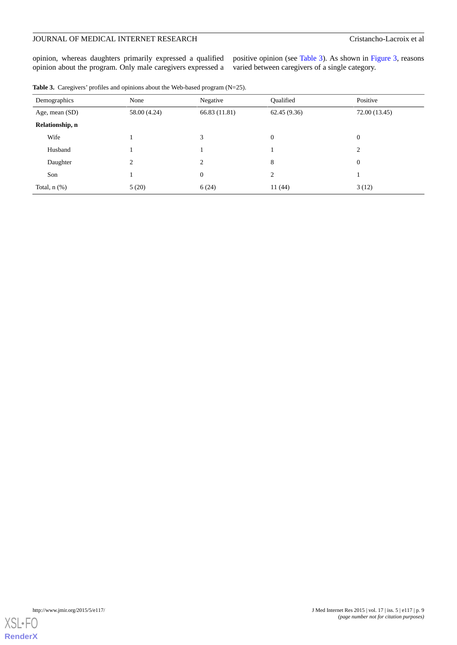opinion, whereas daughters primarily expressed a qualified opinion about the program. Only male caregivers expressed a

positive opinion (see [Table 3](#page-8-0)). As shown in [Figure 3](#page-9-0), reasons varied between caregivers of a single category.

<span id="page-8-0"></span>

|  |  | <b>Table 3.</b> Caregivers' profiles and opinions about the Web-based program $(N=25)$ . |  |  |  |  |  |
|--|--|------------------------------------------------------------------------------------------|--|--|--|--|--|
|--|--|------------------------------------------------------------------------------------------|--|--|--|--|--|

|                   | Demographics    | None           | Negative       | Oualified                    | Positive         |
|-------------------|-----------------|----------------|----------------|------------------------------|------------------|
|                   | Age, mean (SD)  | 58.00 (4.24)   | 66.83 (11.81)  | 62.45(9.36)<br>72.00 (13.45) |                  |
|                   | Relationship, n |                |                |                              |                  |
|                   | Wife            |                | 3              | $\mathbf{0}$                 | $\boldsymbol{0}$ |
|                   | Husband         |                |                |                              | 2                |
|                   | Daughter        | $\overline{c}$ | $\overline{c}$ | 8                            | $\boldsymbol{0}$ |
| Son               |                 |                | $\mathbf{0}$   | 2                            |                  |
| Total, $n$ $(\%)$ |                 | 5(20)          | 6(24)          | 11(44)                       | 3(12)            |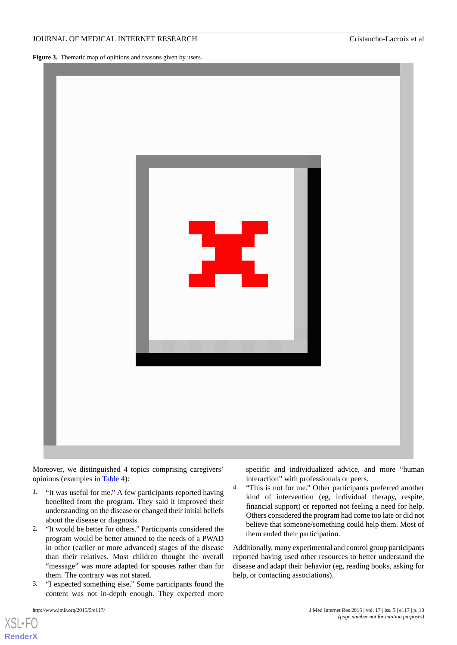<span id="page-9-0"></span>Figure 3. Thematic map of opinions and reasons given by users.



Moreover, we distinguished 4 topics comprising caregivers' opinions (examples in [Table 4\)](#page-10-0):

- 1. "It was useful for me." A few participants reported having benefited from the program. They said it improved their understanding on the disease or changed their initial beliefs about the disease or diagnosis*.*
- 2. "It would be better for others." Participants considered the program would be better attuned to the needs of a PWAD in other (earlier or more advanced) stages of the disease than their relatives. Most children thought the overall "message" was more adapted for spouses rather than for them. The contrary was not stated.
- 3. "I expected something else." Some participants found the content was not in-depth enough. They expected more

specific and individualized advice, and more "human interaction" with professionals or peers.

4. "This is not for me." Other participants preferred another kind of intervention (eg, individual therapy, respite, financial support) or reported not feeling a need for help. Others considered the program had come too late or did not believe that someone/something could help them. Most of them ended their participation.

Additionally, many experimental and control group participants reported having used other resources to better understand the disease and adapt their behavior (eg, reading books, asking for help, or contacting associations).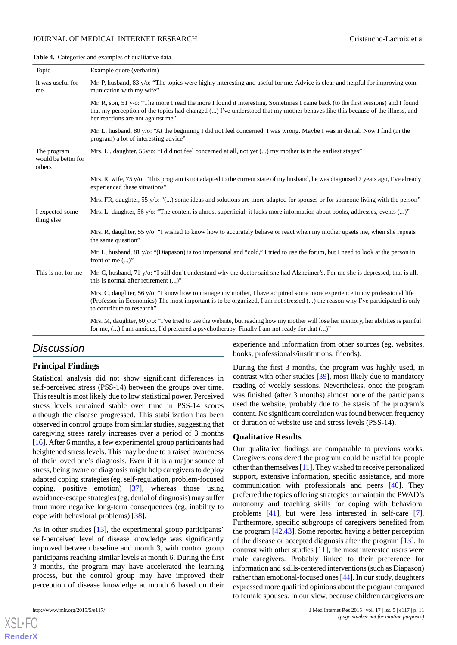<span id="page-10-0"></span>**Table 4.** Categories and examples of qualitative data.

| Topic                                        | Example quote (verbatim)                                                                                                                                                                                                                                                                             |  |  |  |
|----------------------------------------------|------------------------------------------------------------------------------------------------------------------------------------------------------------------------------------------------------------------------------------------------------------------------------------------------------|--|--|--|
| It was useful for<br>me                      | Mr. P, husband, 83 y/o: "The topics were highly interesting and useful for me. Advice is clear and helpful for improving com-<br>munication with my wife"                                                                                                                                            |  |  |  |
|                                              | Mr. R, son, 51 y/o: "The more I read the more I found it interesting. Sometimes I came back (to the first sessions) and I found<br>that my perception of the topics had changed () I've understood that my mother behaves like this because of the illness, and<br>her reactions are not against me" |  |  |  |
|                                              | Mr. L, husband, 80 y/o: "At the beginning I did not feel concerned, I was wrong. Maybe I was in denial. Now I find (in the<br>program) a lot of interesting advice"                                                                                                                                  |  |  |  |
| The program<br>would be better for<br>others | Mrs. L., daughter, 55y/o: "I did not feel concerned at all, not yet () my mother is in the earliest stages"                                                                                                                                                                                          |  |  |  |
|                                              | Mrs. R, wife, 75 y/o: "This program is not adapted to the current state of my husband, he was diagnosed 7 years ago, I've already<br>experienced these situations"                                                                                                                                   |  |  |  |
|                                              | Mrs. FR, daughter, 55 y/o: "() some ideas and solutions are more adapted for spouses or for someone living with the person"                                                                                                                                                                          |  |  |  |
| I expected some-<br>thing else               | Mrs. L, daughter, 56 y/o: "The content is almost superficial, it lacks more information about books, addresses, events $()$ "                                                                                                                                                                        |  |  |  |
|                                              | Mrs. R, daughter, 55 y/o: "I wished to know how to accurately behave or react when my mother upsets me, when she repeats<br>the same question"                                                                                                                                                       |  |  |  |
|                                              | Mr. L, husband, 81 y/o: "(Diapason) is too impersonal and "cold," I tried to use the forum, but I need to look at the person in<br>front of me $()$ "                                                                                                                                                |  |  |  |
| This is not for me                           | Mr. C, husband, 71 y/o: "I still don't understand why the doctor said she had Alzheimer's. For me she is depressed, that is all,<br>this is normal after retirement ()"                                                                                                                              |  |  |  |
|                                              | Mrs. C, daughter, 56 y/o: "I know how to manage my mother, I have acquired some more experience in my professional life<br>(Professor in Economics) The most important is to be organized, I am not stressed () the reason why I've participated is only<br>to contribute to research"               |  |  |  |
|                                              | Mrs. M, daughter, 60 y/o: "I've tried to use the website, but reading how my mother will lose her memory, her abilities is painful<br>for me, $()$ I am anxious, I'd preferred a psychotherapy. Finally I am not ready for that $()$ "                                                               |  |  |  |
|                                              |                                                                                                                                                                                                                                                                                                      |  |  |  |

## *Discussion*

#### **Principal Findings**

Statistical analysis did not show significant differences in self-perceived stress (PSS-14) between the groups over time. This result is most likely due to low statistical power. Perceived stress levels remained stable over time in PSS-14 scores although the disease progressed. This stabilization has been observed in control groups from similar studies, suggesting that caregiving stress rarely increases over a period of 3 months [[16\]](#page-12-12). After 6 months, a few experimental group participants had heightened stress levels. This may be due to a raised awareness of their loved one's diagnosis. Even if it is a major source of stress, being aware of diagnosis might help caregivers to deploy adapted coping strategies (eg, self-regulation, problem-focused coping, positive emotion) [[37\]](#page-13-13), whereas those using avoidance-escape strategies (eg, denial of diagnosis) may suffer from more negative long-term consequences (eg, inability to cope with behavioral problems) [\[38](#page-13-14)].

As in other studies [[13\]](#page-12-9), the experimental group participants' self-perceived level of disease knowledge was significantly improved between baseline and month 3, with control group participants reaching similar levels at month 6. During the first 3 months, the program may have accelerated the learning process, but the control group may have improved their perception of disease knowledge at month 6 based on their

[XSL](http://www.w3.org/Style/XSL)•FO **[RenderX](http://www.renderx.com/)**

experience and information from other sources (eg, websites, books, professionals/institutions, friends).

During the first 3 months, the program was highly used, in contrast with other studies [[39\]](#page-13-15), most likely due to mandatory reading of weekly sessions. Nevertheless, once the program was finished (after 3 months) almost none of the participants used the website, probably due to the stasis of the program's content. No significant correlation was found between frequency or duration of website use and stress levels (PSS-14).

#### **Qualitative Results**

Our qualitative findings are comparable to previous works. Caregivers considered the program could be useful for people other than themselves [[11\]](#page-12-7). They wished to receive personalized support, extensive information, specific assistance, and more communication with professionals and peers [[40\]](#page-13-16). They preferred the topics offering strategies to maintain the PWAD's autonomy and teaching skills for coping with behavioral problems [\[41](#page-13-17)], but were less interested in self-care [[7\]](#page-12-3). Furthermore, specific subgroups of caregivers benefited from the program [[42](#page-13-18)[,43](#page-13-19)]. Some reported having a better perception of the disease or accepted diagnosis after the program [[13\]](#page-12-9). In contrast with other studies  $[11]$  $[11]$ , the most interested users were male caregivers. Probably linked to their preference for information and skills-centered interventions (such as Diapason) rather than emotional-focused ones [\[44](#page-13-20)]. In our study, daughters expressed more qualified opinions about the program compared to female spouses. In our view, because children caregivers are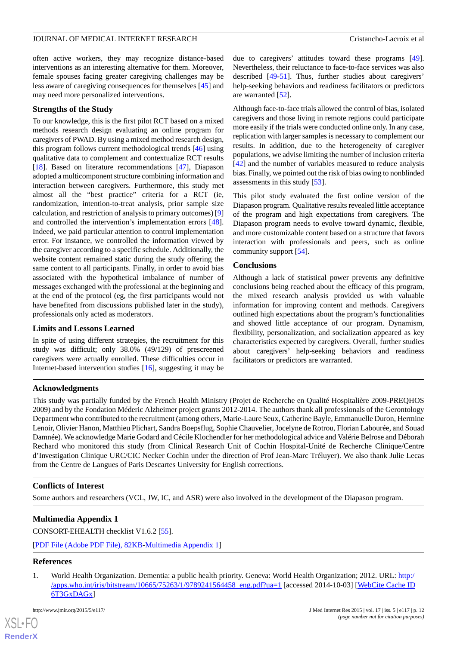often active workers, they may recognize distance-based interventions as an interesting alternative for them. Moreover, female spouses facing greater caregiving challenges may be less aware of caregiving consequences for themselves [[45\]](#page-13-21) and may need more personalized interventions.

#### **Strengths of the Study**

To our knowledge, this is the first pilot RCT based on a mixed methods research design evaluating an online program for caregivers of PWAD. By using a mixed method research design, this program follows current methodological trends [\[46](#page-13-22)] using qualitative data to complement and contextualize RCT results [[18\]](#page-12-14). Based on literature recommendations [[47\]](#page-13-23), Diapason adopted a multicomponent structure combining information and interaction between caregivers. Furthermore, this study met almost all the "best practice" criteria for a RCT (ie, randomization, intention-to-treat analysis, prior sample size calculation, and restriction of analysis to primary outcomes) [\[9](#page-12-5)] and controlled the intervention's implementation errors [[48\]](#page-13-24). Indeed, we paid particular attention to control implementation error. For instance, we controlled the information viewed by the caregiver according to a specific schedule. Additionally, the website content remained static during the study offering the same content to all participants. Finally, in order to avoid bias associated with the hypothetical imbalance of number of messages exchanged with the professional at the beginning and at the end of the protocol (eg, the first participants would not have benefited from discussions published later in the study), professionals only acted as moderators.

### **Limits and Lessons Learned**

In spite of using different strategies, the recruitment for this study was difficult; only 38.0% (49/129) of prescreened caregivers were actually enrolled. These difficulties occur in Internet-based intervention studies [\[16](#page-12-12)], suggesting it may be

due to caregivers' attitudes toward these programs [[49\]](#page-13-25). Nevertheless, their reluctance to face-to-face services was also described [\[49](#page-13-25)[-51](#page-14-0)]. Thus, further studies about caregivers' help-seeking behaviors and readiness facilitators or predictors are warranted [\[52](#page-14-1)].

Although face-to-face trials allowed the control of bias, isolated caregivers and those living in remote regions could participate more easily if the trials were conducted online only. In any case, replication with larger samples is necessary to complement our results. In addition, due to the heterogeneity of caregiver populations, we advise limiting the number of inclusion criteria [[42\]](#page-13-18) and the number of variables measured to reduce analysis bias. Finally, we pointed out the risk of bias owing to nonblinded assessments in this study [\[53](#page-14-2)].

This pilot study evaluated the first online version of the Diapason program. Qualitative results revealed little acceptance of the program and high expectations from caregivers. The Diapason program needs to evolve toward dynamic, flexible, and more customizable content based on a structure that favors interaction with professionals and peers, such as online community support [[54\]](#page-14-3).

#### **Conclusions**

Although a lack of statistical power prevents any definitive conclusions being reached about the efficacy of this program, the mixed research analysis provided us with valuable information for improving content and methods. Caregivers outlined high expectations about the program's functionalities and showed little acceptance of our program. Dynamism, flexibility, personalization, and socialization appeared as key characteristics expected by caregivers. Overall, further studies about caregivers' help-seeking behaviors and readiness facilitators or predictors are warranted.

### **Acknowledgments**

This study was partially funded by the French Health Ministry (Projet de Recherche en Qualité Hospitalière 2009-PREQHOS 2009) and by the Fondation Méderic Alzheimer project grants 2012-2014. The authors thank all professionals of the Gerontology Department who contributed to the recruitment (among others, Marie-Laure Seux, Catherine Bayle, Emmanuelle Duron, Hermine Lenoir, Olivier Hanon, Matthieu Plichart, Sandra Boepsflug, Sophie Chauvelier, Jocelyne de Rotrou, Florian Labourée, and Souad Damnée). We acknowledge Marie Godard and Cécile Klochendler for her methodological advice and Valérie Belrose and Déborah Rechard who monitored this study (from Clinical Research Unit of Cochin Hospital-Unité de Recherche Clinique/Centre d'Investigation Clinique URC/CIC Necker Cochin under the direction of Prof Jean-Marc Tréluyer). We also thank Julie Lecas from the Centre de Langues of Paris Descartes University for English corrections.

### **Conflicts of Interest**

Some authors and researchers (VCL, JW, IC, and ASR) were also involved in the development of the Diapason program.

### <span id="page-11-0"></span>**Multimedia Appendix 1**

CONSORT-EHEALTH checklist V1.6.2 [[55\]](#page-14-4).

[[PDF File \(Adobe PDF File\), 82KB-Multimedia Appendix 1](https://jmir.org/api/download?alt_name=jmir_v17i5e117_app1.pdf&filename=fe7bbda76db0d0999f89f0510501e403.pdf)]

#### **References**

[XSL](http://www.w3.org/Style/XSL)•FO **[RenderX](http://www.renderx.com/)**

1. World Health Organization. Dementia: a public health priority. Geneva: World Health Organization; 2012. URL: [http:/](http://apps.who.int/iris/bitstream/10665/75263/1/9789241564458_eng.pdf?ua=1) [/apps.who.int/iris/bitstream/10665/75263/1/9789241564458\\_eng.pdf?ua=1](http://apps.who.int/iris/bitstream/10665/75263/1/9789241564458_eng.pdf?ua=1) [accessed 2014-10-03] [\[WebCite Cache ID](http://www.webcitation.org/

                                    6T3GxDAGx) [6T3GxDAGx\]](http://www.webcitation.org/

                                    6T3GxDAGx)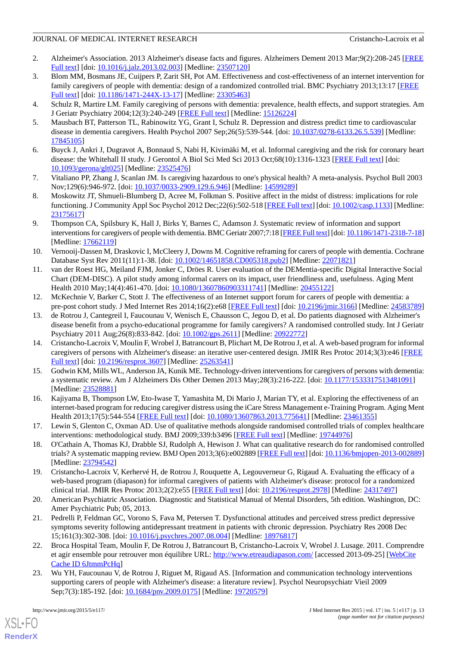- <span id="page-12-0"></span>2. Alzheimer's Association. 2013 Alzheimer's disease facts and figures. Alzheimers Dement 2013 Mar;9(2):208-245 [[FREE](http://www.alz.org/downloads/facts_figures_2013.pdf) [Full text\]](http://www.alz.org/downloads/facts_figures_2013.pdf) [doi: [10.1016/j.jalz.2013.02.003\]](http://dx.doi.org/10.1016/j.jalz.2013.02.003) [Medline: [23507120](http://www.ncbi.nlm.nih.gov/entrez/query.fcgi?cmd=Retrieve&db=PubMed&list_uids=23507120&dopt=Abstract)]
- <span id="page-12-1"></span>3. Blom MM, Bosmans JE, Cuijpers P, Zarit SH, Pot AM. Effectiveness and cost-effectiveness of an internet intervention for family caregivers of people with dementia: design of a randomized controlled trial. BMC Psychiatry 2013;13:17 [\[FREE](http://www.pubmedcentral.nih.gov/articlerender.fcgi?artid=3557221&tool=pmcentrez&rendertype=abcstract) [Full text\]](http://www.pubmedcentral.nih.gov/articlerender.fcgi?artid=3557221&tool=pmcentrez&rendertype=abcstract) [doi: [10.1186/1471-244X-13-17\]](http://dx.doi.org/10.1186/1471-244X-13-17) [Medline: [23305463](http://www.ncbi.nlm.nih.gov/entrez/query.fcgi?cmd=Retrieve&db=PubMed&list_uids=23305463&dopt=Abstract)]
- <span id="page-12-2"></span>4. Schulz R, Martire LM. Family caregiving of persons with dementia: prevalence, health effects, and support strategies. Am J Geriatr Psychiatry 2004;12(3):240-249 [[FREE Full text](http://www.sciencedirect.com/science/article/pii/S1064748112617746)] [Medline: [15126224](http://www.ncbi.nlm.nih.gov/entrez/query.fcgi?cmd=Retrieve&db=PubMed&list_uids=15126224&dopt=Abstract)]
- 5. Mausbach BT, Patterson TL, Rabinowitz YG, Grant I, Schulz R. Depression and distress predict time to cardiovascular disease in dementia caregivers. Health Psychol 2007 Sep;26(5):539-544. [doi: [10.1037/0278-6133.26.5.539\]](http://dx.doi.org/10.1037/0278-6133.26.5.539) [Medline: [17845105](http://www.ncbi.nlm.nih.gov/entrez/query.fcgi?cmd=Retrieve&db=PubMed&list_uids=17845105&dopt=Abstract)]
- <span id="page-12-3"></span>6. Buyck J, Ankri J, Dugravot A, Bonnaud S, Nabi H, Kivimäki M, et al. Informal caregiving and the risk for coronary heart disease: the Whitehall II study. J Gerontol A Biol Sci Med Sci 2013 Oct;68(10):1316-1323 [\[FREE Full text](http://europepmc.org/abstract/MED/23525476)] [doi: [10.1093/gerona/glt025](http://dx.doi.org/10.1093/gerona/glt025)] [Medline: [23525476](http://www.ncbi.nlm.nih.gov/entrez/query.fcgi?cmd=Retrieve&db=PubMed&list_uids=23525476&dopt=Abstract)]
- <span id="page-12-4"></span>7. Vitaliano PP, Zhang J, Scanlan JM. Is caregiving hazardous to one's physical health? A meta-analysis. Psychol Bull 2003 Nov;129(6):946-972. [doi: [10.1037/0033-2909.129.6.946\]](http://dx.doi.org/10.1037/0033-2909.129.6.946) [Medline: [14599289](http://www.ncbi.nlm.nih.gov/entrez/query.fcgi?cmd=Retrieve&db=PubMed&list_uids=14599289&dopt=Abstract)]
- <span id="page-12-5"></span>8. Moskowitz JT, Shmueli-Blumberg D, Acree M, Folkman S. Positive affect in the midst of distress: implications for role functioning. J Community Appl Soc Psychol 2012 Dec;22(6):502-518 [[FREE Full text](http://www.pubmedcentral.nih.gov/articlerender.fcgi?artid=3501106&tool=pmcentrez&rendertype=abstract)] [doi: [10.1002/casp.1133](http://dx.doi.org/10.1002/casp.1133)] [Medline: [23175617](http://www.ncbi.nlm.nih.gov/entrez/query.fcgi?cmd=Retrieve&db=PubMed&list_uids=23175617&dopt=Abstract)]
- <span id="page-12-6"></span>9. Thompson CA, Spilsbury K, Hall J, Birks Y, Barnes C, Adamson J. Systematic review of information and support interventions for caregivers of people with dementia. BMC Geriatr 2007;7:18 [\[FREE Full text](http://www.pubmedcentral.nih.gov/articlerender.fcgi?artid=1951962)] [doi: [10.1186/1471-2318-7-18\]](http://dx.doi.org/10.1186/1471-2318-7-18) [Medline: [17662119](http://www.ncbi.nlm.nih.gov/entrez/query.fcgi?cmd=Retrieve&db=PubMed&list_uids=17662119&dopt=Abstract)]
- <span id="page-12-7"></span>10. Vernooij-Dassen M, Draskovic I, McCleery J, Downs M. Cognitive reframing for carers of people with dementia. Cochrane Database Syst Rev 2011(11):1-38. [doi: [10.1002/14651858.CD005318.pub2](http://dx.doi.org/10.1002/14651858.CD005318.pub2)] [Medline: [22071821\]](http://www.ncbi.nlm.nih.gov/entrez/query.fcgi?cmd=Retrieve&db=PubMed&list_uids=22071821&dopt=Abstract)
- <span id="page-12-8"></span>11. van der Roest HG, Meiland FJM, Jonker C, Dröes R. User evaluation of the DEMentia-specific Digital Interactive Social Chart (DEM-DISC). A pilot study among informal carers on its impact, user friendliness and, usefulness. Aging Ment Health 2010 May;14(4):461-470. [doi: [10.1080/13607860903311741\]](http://dx.doi.org/10.1080/13607860903311741) [Medline: [20455122\]](http://www.ncbi.nlm.nih.gov/entrez/query.fcgi?cmd=Retrieve&db=PubMed&list_uids=20455122&dopt=Abstract)
- <span id="page-12-9"></span>12. McKechnie V, Barker C, Stott J. The effectiveness of an Internet support forum for carers of people with dementia: a pre-post cohort study. J Med Internet Res 2014;16(2):e68 [[FREE Full text\]](http://www.jmir.org/2014/2/e68/) [doi: [10.2196/jmir.3166\]](http://dx.doi.org/10.2196/jmir.3166) [Medline: [24583789](http://www.ncbi.nlm.nih.gov/entrez/query.fcgi?cmd=Retrieve&db=PubMed&list_uids=24583789&dopt=Abstract)]
- <span id="page-12-10"></span>13. de Rotrou J, Cantegreil I, Faucounau V, Wenisch E, Chausson C, Jegou D, et al. Do patients diagnosed with Alzheimer's disease benefit from a psycho-educational programme for family caregivers? A randomised controlled study. Int J Geriatr Psychiatry 2011 Aug;26(8):833-842. [doi: [10.1002/gps.2611\]](http://dx.doi.org/10.1002/gps.2611) [Medline: [20922772](http://www.ncbi.nlm.nih.gov/entrez/query.fcgi?cmd=Retrieve&db=PubMed&list_uids=20922772&dopt=Abstract)]
- <span id="page-12-11"></span>14. Cristancho-Lacroix V, Moulin F, Wrobel J, Batrancourt B, Plichart M, De Rotrou J, et al. A web-based program for informal caregivers of persons with Alzheimer's disease: an iterative user-centered design. JMIR Res Protoc 2014;3(3):e46 [\[FREE](http://www.researchprotocols.org/2014/3/e46/) [Full text\]](http://www.researchprotocols.org/2014/3/e46/) [doi: [10.2196/resprot.3607\]](http://dx.doi.org/10.2196/resprot.3607) [Medline: [25263541](http://www.ncbi.nlm.nih.gov/entrez/query.fcgi?cmd=Retrieve&db=PubMed&list_uids=25263541&dopt=Abstract)]
- <span id="page-12-13"></span><span id="page-12-12"></span>15. Godwin KM, Mills WL, Anderson JA, Kunik ME. Technology-driven interventions for caregivers of persons with dementia: a systematic review. Am J Alzheimers Dis Other Demen 2013 May;28(3):216-222. [doi: [10.1177/1533317513481091\]](http://dx.doi.org/10.1177/1533317513481091) [Medline: [23528881](http://www.ncbi.nlm.nih.gov/entrez/query.fcgi?cmd=Retrieve&db=PubMed&list_uids=23528881&dopt=Abstract)]
- <span id="page-12-14"></span>16. Kajiyama B, Thompson LW, Eto-Iwase T, Yamashita M, Di Mario J, Marian TY, et al. Exploring the effectiveness of an internet-based program for reducing caregiver distress using the iCare Stress Management e-Training Program. Aging Ment Health 2013;17(5):544-554 [\[FREE Full text](http://europepmc.org/abstract/MED/23461355)] [doi: [10.1080/13607863.2013.775641\]](http://dx.doi.org/10.1080/13607863.2013.775641) [Medline: [23461355\]](http://www.ncbi.nlm.nih.gov/entrez/query.fcgi?cmd=Retrieve&db=PubMed&list_uids=23461355&dopt=Abstract)
- <span id="page-12-15"></span>17. Lewin S, Glenton C, Oxman AD. Use of qualitative methods alongside randomised controlled trials of complex healthcare interventions: methodological study. BMJ 2009;339:b3496 [[FREE Full text](http://www.bmj.com/content/339/bmj.b3496"><b><span)] [Medline: [19744976](http://www.ncbi.nlm.nih.gov/entrez/query.fcgi?cmd=Retrieve&db=PubMed&list_uids=19744976&dopt=Abstract)]
- <span id="page-12-16"></span>18. O'Cathain A, Thomas KJ, Drabble SJ, Rudolph A, Hewison J. What can qualitative research do for randomised controlled trials? A systematic mapping review. BMJ Open 2013;3(6):e002889 [[FREE Full text\]](http://www.pubmedcentral.nih.gov/articlerender.fcgi?artid=3669723&tool=pmcentrez&rendertype=abstract) [doi: [10.1136/bmjopen-2013-002889\]](http://dx.doi.org/10.1136/bmjopen-2013-002889) [Medline: [23794542](http://www.ncbi.nlm.nih.gov/entrez/query.fcgi?cmd=Retrieve&db=PubMed&list_uids=23794542&dopt=Abstract)]
- <span id="page-12-17"></span>19. Cristancho-Lacroix V, Kerhervé H, de Rotrou J, Rouquette A, Legouverneur G, Rigaud A. Evaluating the efficacy of a web-based program (diapason) for informal caregivers of patients with Alzheimer's disease: protocol for a randomized clinical trial. JMIR Res Protoc 2013;2(2):e55 [\[FREE Full text\]](http://www.researchprotocols.org/2013/2/e55/) [doi: [10.2196/resprot.2978\]](http://dx.doi.org/10.2196/resprot.2978) [Medline: [24317497](http://www.ncbi.nlm.nih.gov/entrez/query.fcgi?cmd=Retrieve&db=PubMed&list_uids=24317497&dopt=Abstract)]
- <span id="page-12-18"></span>20. American Psychiatric Association. Diagnostic and Statistical Manual of Mental Disorders, 5th edition. Washington, DC: Amer Psychiatric Pub; 05, 2013.
- <span id="page-12-19"></span>21. Pedrelli P, Feldman GC, Vorono S, Fava M, Petersen T. Dysfunctional attitudes and perceived stress predict depressive symptoms severity following antidepressant treatment in patients with chronic depression. Psychiatry Res 2008 Dec 15;161(3):302-308. [doi: [10.1016/j.psychres.2007.08.004](http://dx.doi.org/10.1016/j.psychres.2007.08.004)] [Medline: [18976817](http://www.ncbi.nlm.nih.gov/entrez/query.fcgi?cmd=Retrieve&db=PubMed&list_uids=18976817&dopt=Abstract)]
- 22. Broca Hospital Team, Moulin F, De Rotrou J, Batrancourt B, Cristancho-Lacroix V, Wrobel J. Lusage. 2011. Comprendre et agir ensemble pour retrouver mon équilibre URL: <http://www.etreaudiapason.com/> [accessed 2013-09-25] [\[WebCite](http://www.webcitation.org/

                                    6JtmmPcHq) [Cache ID 6JtmmPcHq](http://www.webcitation.org/

                                    6JtmmPcHq)]
- 23. Wu YH, Faucounau V, de Rotrou J, Riguet M, Rigaud AS. [Information and communication technology interventions supporting carers of people with Alzheimer's disease: a literature review]. Psychol Neuropsychiatr Vieil 2009 Sep;7(3):185-192. [doi: [10.1684/pnv.2009.0175\]](http://dx.doi.org/10.1684/pnv.2009.0175) [Medline: [19720579\]](http://www.ncbi.nlm.nih.gov/entrez/query.fcgi?cmd=Retrieve&db=PubMed&list_uids=19720579&dopt=Abstract)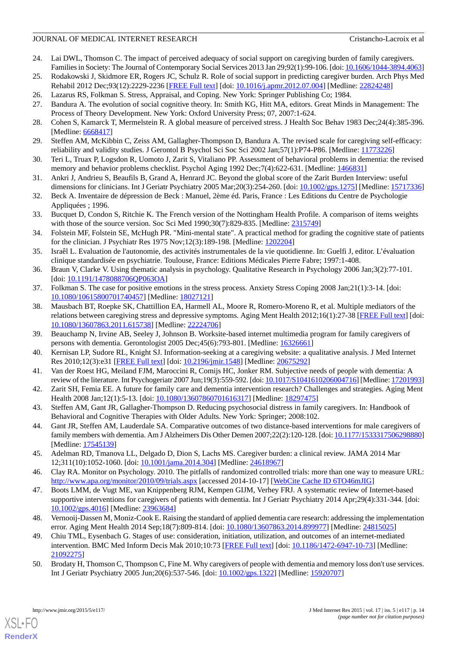- <span id="page-13-0"></span>24. Lai DWL, Thomson C. The impact of perceived adequacy of social support on caregiving burden of family caregivers. Families in Society: The Journal of Contemporary Social Services 2013 Jan 29;92(1):99-106. [doi: [10.1606/1044-3894.4063](http://dx.doi.org/10.1606/1044-3894.4063)]
- <span id="page-13-2"></span><span id="page-13-1"></span>25. Rodakowski J, Skidmore ER, Rogers JC, Schulz R. Role of social support in predicting caregiver burden. Arch Phys Med Rehabil 2012 Dec;93(12):2229-2236 [\[FREE Full text](http://www.archives-pmr.org/article/S0003-9993(12)00539-4/pdf)] [doi: [10.1016/j.apmr.2012.07.004\]](http://dx.doi.org/10.1016/j.apmr.2012.07.004) [Medline: [22824248\]](http://www.ncbi.nlm.nih.gov/entrez/query.fcgi?cmd=Retrieve&db=PubMed&list_uids=22824248&dopt=Abstract)
- <span id="page-13-3"></span>26. Lazarus RS, Folkman S. Stress, Appraisal, and Coping. New York: Springer Publishing Co; 1984.
- <span id="page-13-4"></span>27. Bandura A. The evolution of social cognitive theory. In: Smith KG, Hitt MA, editors. Great Minds in Management: The Process of Theory Development. New York: Oxford University Press; 07, 2007:1-624.
- <span id="page-13-5"></span>28. Cohen S, Kamarck T, Mermelstein R. A global measure of perceived stress. J Health Soc Behav 1983 Dec;24(4):385-396. [Medline: [6668417\]](http://www.ncbi.nlm.nih.gov/entrez/query.fcgi?cmd=Retrieve&db=PubMed&list_uids=6668417&dopt=Abstract)
- <span id="page-13-6"></span>29. Steffen AM, McKibbin C, Zeiss AM, Gallagher-Thompson D, Bandura A. The revised scale for caregiving self-efficacy: reliability and validity studies. J Gerontol B Psychol Sci Soc Sci 2002 Jan;57(1):P74-P86. [Medline: [11773226\]](http://www.ncbi.nlm.nih.gov/entrez/query.fcgi?cmd=Retrieve&db=PubMed&list_uids=11773226&dopt=Abstract)
- <span id="page-13-7"></span>30. Teri L, Truax P, Logsdon R, Uomoto J, Zarit S, Vitaliano PP. Assessment of behavioral problems in dementia: the revised memory and behavior problems checklist. Psychol Aging 1992 Dec;7(4):622-631. [Medline: [1466831\]](http://www.ncbi.nlm.nih.gov/entrez/query.fcgi?cmd=Retrieve&db=PubMed&list_uids=1466831&dopt=Abstract)
- <span id="page-13-8"></span>31. Ankri J, Andrieu S, Beaufils B, Grand A, Henrard JC. Beyond the global score of the Zarit Burden Interview: useful dimensions for clinicians. Int J Geriatr Psychiatry 2005 Mar;20(3):254-260. [doi: [10.1002/gps.1275](http://dx.doi.org/10.1002/gps.1275)] [Medline: [15717336](http://www.ncbi.nlm.nih.gov/entrez/query.fcgi?cmd=Retrieve&db=PubMed&list_uids=15717336&dopt=Abstract)]
- <span id="page-13-9"></span>32. Beck A. Inventaire de dépression de Beck : Manuel, 2ème éd. Paris, France : Les Editions du Centre de Psychologie Appliquées ; 1996.
- <span id="page-13-10"></span>33. Bucquet D, Condon S, Ritchie K. The French version of the Nottingham Health Profile. A comparison of items weights with those of the source version. Soc Sci Med 1990;30(7):829-835. [Medline: [2315749\]](http://www.ncbi.nlm.nih.gov/entrez/query.fcgi?cmd=Retrieve&db=PubMed&list_uids=2315749&dopt=Abstract)
- <span id="page-13-11"></span>34. Folstein MF, Folstein SE, McHugh PR. "Mini-mental state". A practical method for grading the cognitive state of patients for the clinician. J Psychiatr Res 1975 Nov;12(3):189-198. [Medline: [1202204](http://www.ncbi.nlm.nih.gov/entrez/query.fcgi?cmd=Retrieve&db=PubMed&list_uids=1202204&dopt=Abstract)]
- <span id="page-13-13"></span><span id="page-13-12"></span>35. Israêl L. Evaluation de l'autonomie, des activités instrumentales de la vie quotidienne. In: Guelfi J, editor. L'évaluation clinique standardisée en psychiatrie. Toulouse, France: Editions Médicales Pierre Fabre; 1997:1-408.
- <span id="page-13-14"></span>36. Braun V, Clarke V. Using thematic analysis in psychology. Qualitative Research in Psychology 2006 Jan;3(2):77-101. [doi: [10.1191/1478088706QP063OA](http://dx.doi.org/10.1191/1478088706QP063OA)]
- 37. Folkman S. The case for positive emotions in the stress process. Anxiety Stress Coping 2008 Jan;21(1):3-14. [doi: [10.1080/10615800701740457\]](http://dx.doi.org/10.1080/10615800701740457) [Medline: [18027121\]](http://www.ncbi.nlm.nih.gov/entrez/query.fcgi?cmd=Retrieve&db=PubMed&list_uids=18027121&dopt=Abstract)
- <span id="page-13-16"></span><span id="page-13-15"></span>38. Mausbach BT, Roepke SK, Chattillion EA, Harmell AL, Moore R, Romero-Moreno R, et al. Multiple mediators of the relations between caregiving stress and depressive symptoms. Aging Ment Health 2012;16(1):27-38 [[FREE Full text](http://europepmc.org/abstract/MED/22224706)] [doi: [10.1080/13607863.2011.615738\]](http://dx.doi.org/10.1080/13607863.2011.615738) [Medline: [22224706\]](http://www.ncbi.nlm.nih.gov/entrez/query.fcgi?cmd=Retrieve&db=PubMed&list_uids=22224706&dopt=Abstract)
- <span id="page-13-17"></span>39. Beauchamp N, Irvine AB, Seeley J, Johnson B. Worksite-based internet multimedia program for family caregivers of persons with dementia. Gerontologist 2005 Dec;45(6):793-801. [Medline: [16326661](http://www.ncbi.nlm.nih.gov/entrez/query.fcgi?cmd=Retrieve&db=PubMed&list_uids=16326661&dopt=Abstract)]
- <span id="page-13-18"></span>40. Kernisan LP, Sudore RL, Knight SJ. Information-seeking at a caregiving website: a qualitative analysis. J Med Internet Res 2010;12(3):e31 [[FREE Full text\]](http://www.pubmedcentral.nih.gov/articlerender.fcgi?artid=2956334&tool=pmcentrez&rendertype=abstract) [doi: [10.2196/jmir.1548](http://dx.doi.org/10.2196/jmir.1548)] [Medline: [20675292\]](http://www.ncbi.nlm.nih.gov/entrez/query.fcgi?cmd=Retrieve&db=PubMed&list_uids=20675292&dopt=Abstract)
- <span id="page-13-19"></span>41. Van der Roest HG, Meiland FJM, Maroccini R, Comijs HC, Jonker RM. Subjective needs of people with dementia: A review of the literature. Int Psychogeriatr 2007 Jun;19(3):559-592. [doi: [10.1017/S1041610206004716](http://dx.doi.org/10.1017/S1041610206004716)] [Medline: [17201993\]](http://www.ncbi.nlm.nih.gov/entrez/query.fcgi?cmd=Retrieve&db=PubMed&list_uids=17201993&dopt=Abstract)
- <span id="page-13-20"></span>42. Zarit SH, Femia EE. A future for family care and dementia intervention research? Challenges and strategies. Aging Ment Health 2008 Jan; 12(1): 5-13. [doi: [10.1080/13607860701616317\]](http://dx.doi.org/10.1080/13607860701616317) [Medline: [18297475\]](http://www.ncbi.nlm.nih.gov/entrez/query.fcgi?cmd=Retrieve&db=PubMed&list_uids=18297475&dopt=Abstract)
- <span id="page-13-21"></span>43. Steffen AM, Gant JR, Gallagher-Thompson D. Reducing psychosocial distress in family caregivers. In: Handbook of Behavioral and Cognitive Therapies with Older Adults. New York: Springer; 2008:102.
- <span id="page-13-22"></span>44. Gant JR, Steffen AM, Lauderdale SA. Comparative outcomes of two distance-based interventions for male caregivers of family members with dementia. Am J Alzheimers Dis Other Demen 2007;22(2):120-128. [doi: [10.1177/1533317506298880\]](http://dx.doi.org/10.1177/1533317506298880) [Medline: [17545139](http://www.ncbi.nlm.nih.gov/entrez/query.fcgi?cmd=Retrieve&db=PubMed&list_uids=17545139&dopt=Abstract)]
- <span id="page-13-23"></span>45. Adelman RD, Tmanova LL, Delgado D, Dion S, Lachs MS. Caregiver burden: a clinical review. JAMA 2014 Mar 12;311(10):1052-1060. [doi: [10.1001/jama.2014.304](http://dx.doi.org/10.1001/jama.2014.304)] [Medline: [24618967\]](http://www.ncbi.nlm.nih.gov/entrez/query.fcgi?cmd=Retrieve&db=PubMed&list_uids=24618967&dopt=Abstract)
- <span id="page-13-24"></span>46. Clay RA. Monitor on Psychology. 2010. The pitfalls of randomized controlled trials: more than one way to measure URL: <http://www.apa.org/monitor/2010/09/trials.aspx> [accessed 2014-10-17] [\[WebCite Cache ID 6TO46mJIG](http://www.webcitation.org/

                                    6TO46mJIG)]
- <span id="page-13-25"></span>47. Boots LMM, de Vugt ME, van Knippenberg RJM, Kempen GIJM, Verhey FRJ. A systematic review of Internet-based supportive interventions for caregivers of patients with dementia. Int J Geriatr Psychiatry 2014 Apr;29(4):331-344. [doi: [10.1002/gps.4016](http://dx.doi.org/10.1002/gps.4016)] [Medline: [23963684\]](http://www.ncbi.nlm.nih.gov/entrez/query.fcgi?cmd=Retrieve&db=PubMed&list_uids=23963684&dopt=Abstract)
- 48. Vernooij-Dassen M, Moniz-Cook E. Raising the standard of applied dementia care research: addressing the implementation error. Aging Ment Health 2014 Sep;18(7):809-814. [doi: [10.1080/13607863.2014.899977](http://dx.doi.org/10.1080/13607863.2014.899977)] [Medline: [24815025](http://www.ncbi.nlm.nih.gov/entrez/query.fcgi?cmd=Retrieve&db=PubMed&list_uids=24815025&dopt=Abstract)]
- 49. Chiu TML, Eysenbach G. Stages of use: consideration, initiation, utilization, and outcomes of an internet-mediated intervention. BMC Med Inform Decis Mak 2010;10:73 [\[FREE Full text](http://www.pubmedcentral.nih.gov/articlerender.fcgi?artid=3000372&tool=pmcentrez&rendertype=abstract)] [doi: [10.1186/1472-6947-10-73\]](http://dx.doi.org/10.1186/1472-6947-10-73) [Medline: [21092275](http://www.ncbi.nlm.nih.gov/entrez/query.fcgi?cmd=Retrieve&db=PubMed&list_uids=21092275&dopt=Abstract)]
- 50. Brodaty H, Thomson C, Thompson C, Fine M. Why caregivers of people with dementia and memory loss don't use services. Int J Geriatr Psychiatry 2005 Jun;20(6):537-546. [doi: [10.1002/gps.1322](http://dx.doi.org/10.1002/gps.1322)] [Medline: [15920707\]](http://www.ncbi.nlm.nih.gov/entrez/query.fcgi?cmd=Retrieve&db=PubMed&list_uids=15920707&dopt=Abstract)